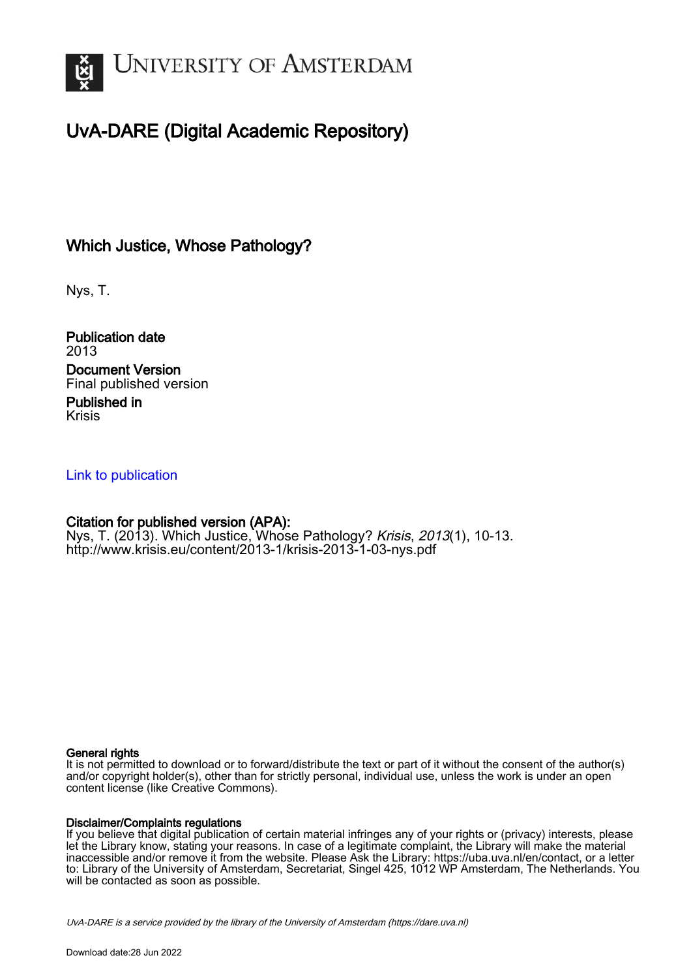

## UvA-DARE (Digital Academic Repository)

### Which Justice, Whose Pathology?

Nys, T.

Publication date 2013 Document Version Final published version Published in

Krisis

#### [Link to publication](https://dare.uva.nl/personal/pure/en/publications/which-justice-whose-pathology(61364c06-abfc-4f01-9285-eb8e3e2c68e0).html)

#### Citation for published version (APA):

Nys, T. (2013). Which Justice, Whose Pathology? *Krisis, 2013*(1), 10-13. <http://www.krisis.eu/content/2013-1/krisis-2013-1-03-nys.pdf>

#### General rights

It is not permitted to download or to forward/distribute the text or part of it without the consent of the author(s) and/or copyright holder(s), other than for strictly personal, individual use, unless the work is under an open content license (like Creative Commons).

#### Disclaimer/Complaints regulations

If you believe that digital publication of certain material infringes any of your rights or (privacy) interests, please let the Library know, stating your reasons. In case of a legitimate complaint, the Library will make the material inaccessible and/or remove it from the website. Please Ask the Library: https://uba.uva.nl/en/contact, or a letter to: Library of the University of Amsterdam, Secretariat, Singel 425, 1012 WP Amsterdam, The Netherlands. You will be contacted as soon as possible.

UvA-DARE is a service provided by the library of the University of Amsterdam (http*s*://dare.uva.nl)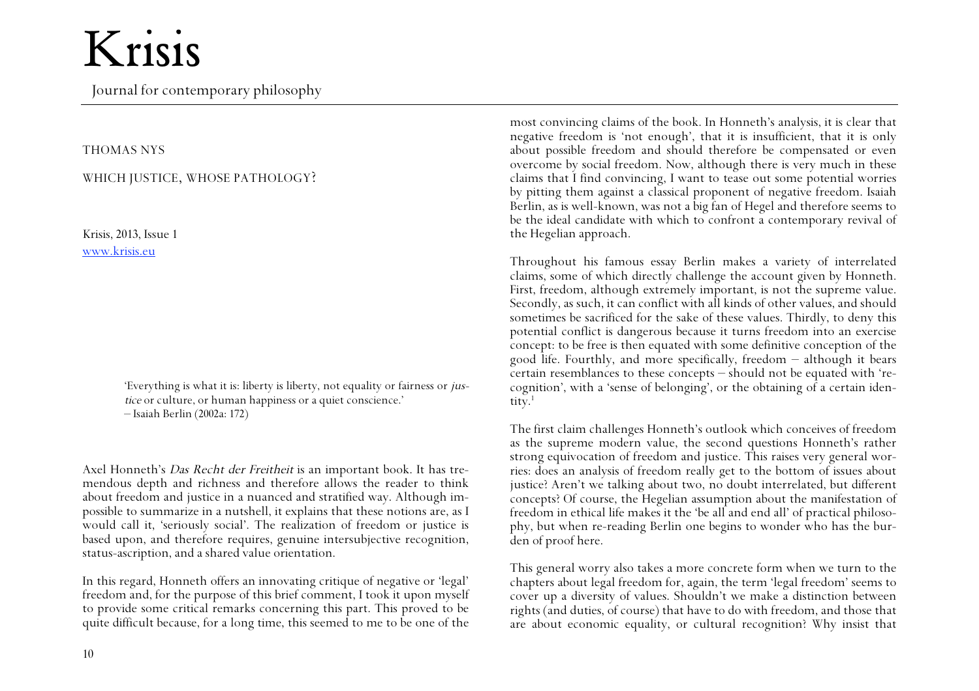## Krisis

Journal for contemporary philosophy

#### THOMAS NYS

#### WHICH JUSTICE, WHOSE PATHOLOGY?

Krisis, 2013, Issue 1 www.krisis.eu

> 'Everything is what it is: liberty is liberty, not equality or fairness or justice or culture, or human happiness or a quiet conscience.' – Isaiah Berlin (2002a: 172)

Axel Honneth's Das Recht der Freitheit is an important book. It has tremendous depth and richness and therefore allows the reader to think about freedom and justice in a nuanced and stratified way. Although impossible to summarize in a nutshell, it explains that these notions are, as I would call it, 'seriously social'. The realization of freedom or justice is based upon, and therefore requires, genuine intersubjective recognition, status-ascription, and a shared value orientation.

In this regard, Honneth offers an innovating critique of negative or 'legal' freedom and, for the purpose of this brief comment, I took it upon myself to provide some critical remarks concerning this part. This proved to be quite difficult because, for a long time, this seemed to me to be one of the most convincing claims of the book. In Honneth's analysis, it is clear that negative freedom is 'not enough', that it is insufficient, that it is only about possible freedom and should therefore be compensated or even overcome by social freedom. Now, although there is very much in these claims that I find convincing, I want to tease out some potential worries by pitting them against a classical proponent of negative freedom. Isaiah Berlin, as is well-known, was not a big fan of Hegel and therefore seems to be the ideal candidate with which to confront a contemporary revival of the Hegelian approach.

Throughout his famous essay Berlin makes a variety of interrelated claims, some of which directly challenge the account given by Honneth. First, freedom, although extremely important, is not the supreme value. Secondly, as such, it can conflict with all kinds of other values, and should sometimes be sacrificed for the sake of these values. Thirdly, to deny this potential conflict is dangerous because it turns freedom into an exercise concept: to be free is then equated with some definitive conception of the good life. Fourthly, and more specifically, freedom  $-$  although it bears certain resemblances to these concepts – should not be equated with 'recognition', with a 'sense of belonging', or the obtaining of a certain identity.<sup>1</sup>

The first claim challenges Honneth's outlook which conceives of freedom as the supreme modern value, the second questions Honneth's rather strong equivocation of freedom and justice. This raises very general worries: does an analysis of freedom really get to the bottom of issues about justice? Aren't we talking about two, no doubt interrelated, but different concepts? Of course, the Hegelian assumption about the manifestation of freedom in ethical life makes it the 'be all and end all' of practical philosophy, but when re-reading Berlin one begins to wonder who has the burden of proof here.

This general worry also takes a more concrete form when we turn to the chapters about legal freedom for, again, the term 'legal freedom' seems to cover up a diversity of values. Shouldn't we make a distinction between rights (and duties, of course) that have to do with freedom, and those that are about economic equality, or cultural recognition? Why insist that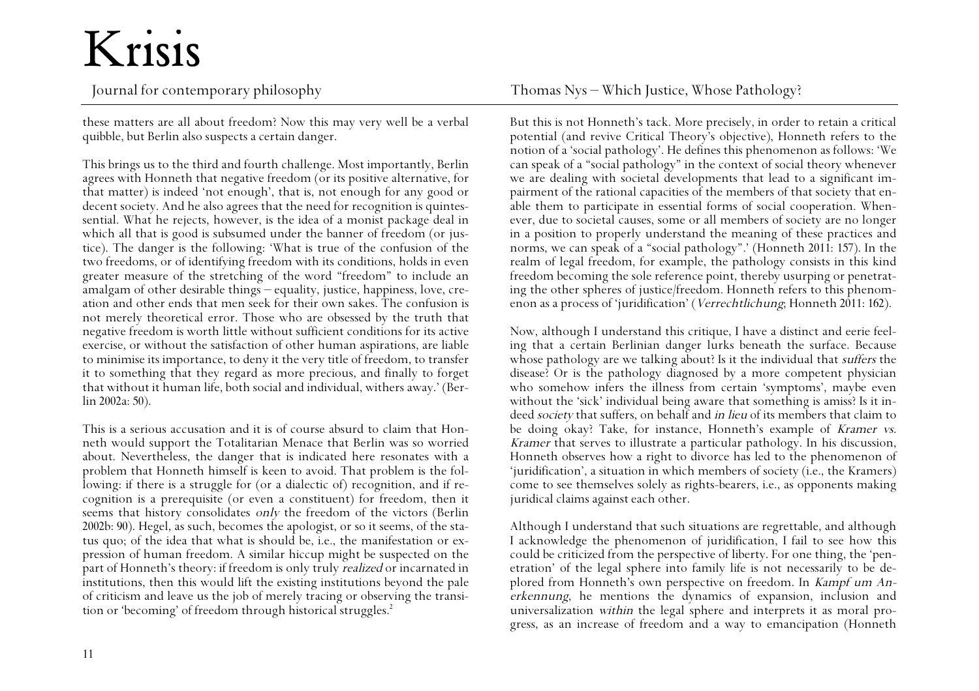# Krisis

Journal for contemporary philosophy Thomas Nys – Which Justice, Whose Pathology?

these matters are all about freedom? Now this may very well be a verbal quibble, but Berlin also suspects a certain danger.

This brings us to the third and fourth challenge. Most importantly, Berlin agrees with Honneth that negative freedom (or its positive alternative, for that matter) is indeed 'not enough', that is, not enough for any good or decent society. And he also agrees that the need for recognition is quintessential. What he rejects, however, is the idea of a monist package deal in which all that is good is subsumed under the banner of freedom (or justice). The danger is the following: 'What is true of the confusion of the two freedoms, or of identifying freedom with its conditions, holds in even greater measure of the stretching of the word "freedom" to include an amalgam of other desirable things – equality, justice, happiness, love, creation and other ends that men seek for their own sakes. The confusion is not merely theoretical error. Those who are obsessed by the truth that negative freedom is worth little without sufficient conditions for its active exercise, or without the satisfaction of other human aspirations, are liable to minimise its importance, to deny it the very title of freedom, to transfer it to something that they regard as more precious, and finally to forget that without it human life, both social and individual, withers away.' (Berlin 2002a: 50).

This is a serious accusation and it is of course absurd to claim that Honneth would support the Totalitarian Menace that Berlin was so worried about. Nevertheless, the danger that is indicated here resonates with a problem that Honneth himself is keen to avoid. That problem is the following: if there is a struggle for (or a dialectic of) recognition, and if recognition is a prerequisite (or even a constituent) for freedom, then it seems that history consolidates *only* the freedom of the victors (Berlin 2002b: 90). Hegel, as such, becomes the apologist, or so it seems, of the status quo; of the idea that what is should be, i.e., the manifestation or expression of human freedom. A similar hiccup might be suspected on the part of Honneth's theory: if freedom is only truly realized or incarnated in institutions, then this would lift the existing institutions beyond the pale of criticism and leave us the job of merely tracing or observing the transition or 'becoming' of freedom through historical struggles.<sup>2</sup>

But this is not Honneth's tack. More precisely, in order to retain a critical potential (and revive Critical Theory's objective), Honneth refers to the notion of a 'social pathology'. He defines this phenomenon as follows: 'We can speak of a "social pathology" in the context of social theory whenever we are dealing with societal developments that lead to a significant impairment of the rational capacities of the members of that society that enable them to participate in essential forms of social cooperation. Whenever, due to societal causes, some or all members of society are no longer in a position to properly understand the meaning of these practices and norms, we can speak of a "social pathology".' (Honneth 2011: 157). In the realm of legal freedom, for example, the pathology consists in this kind freedom becoming the sole reference point, thereby usurping or penetrating the other spheres of justice/freedom. Honneth refers to this phenomenon as a process of 'juridification' (Verrechtlichung; Honneth 2011: 162).

Now, although I understand this critique, I have a distinct and eerie feeling that a certain Berlinian danger lurks beneath the surface. Because whose pathology are we talking about? Is it the individual that *suffers* the disease? Or is the pathology diagnosed by a more competent physician who somehow infers the illness from certain 'symptoms', maybe even without the 'sick' individual being aware that something is amiss? Is it indeed *society* that suffers, on behalf and *in lieu* of its members that claim to be doing okay? Take, for instance, Honneth's example of Kramer vs. Kramer that serves to illustrate a particular pathology. In his discussion, Honneth observes how a right to divorce has led to the phenomenon of 'juridification', a situation in which members of society (i.e., the Kramers) come to see themselves solely as rights-bearers, i.e., as opponents making juridical claims against each other.

Although I understand that such situations are regrettable, and although I acknowledge the phenomenon of juridification, I fail to see how this could be criticized from the perspective of liberty. For one thing, the 'penetration' of the legal sphere into family life is not necessarily to be deplored from Honneth's own perspective on freedom. In Kampf um Anerkennung, he mentions the dynamics of expansion, inclusion and universalization within the legal sphere and interprets it as moral progress, as an increase of freedom and a way to emancipation (Honneth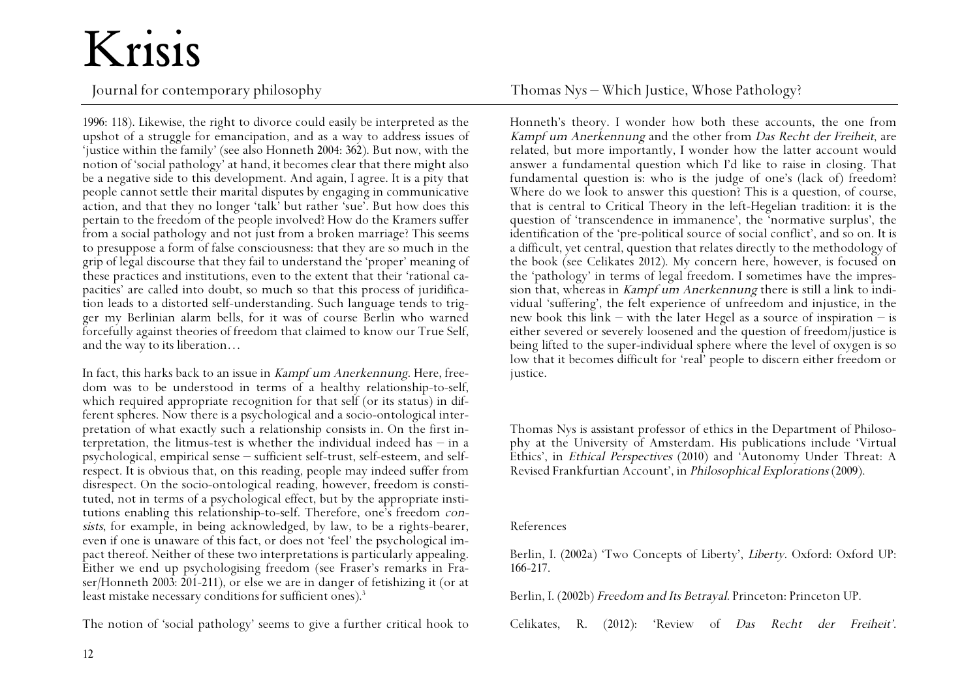# Krisis

1996: 118). Likewise, the right to divorce could easily be interpreted as the upshot of a struggle for emancipation, and as a way to address issues of 'justice within the family' (see also Honneth 2004: 362). But now, with the notion of 'social pathology' at hand, it becomes clear that there might also be a negative side to this development. And again, I agree. It is a pity that people cannot settle their marital disputes by engaging in communicative action, and that they no longer 'talk' but rather 'sue'. But how does this pertain to the freedom of the people involved? How do the Kramers suffer from a social pathology and not just from a broken marriage? This seems to presuppose a form of false consciousness: that they are so much in the grip of legal discourse that they fail to understand the 'proper' meaning of these practices and institutions, even to the extent that their 'rational capacities' are called into doubt, so much so that this process of juridification leads to a distorted self-understanding. Such language tends to trigger my Berlinian alarm bells, for it was of course Berlin who warned forcefully against theories of freedom that claimed to know our True Self, and the way to its liberation…

In fact, this harks back to an issue in Kampf um Anerkennung. Here, freedom was to be understood in terms of a healthy relationship-to-self, which required appropriate recognition for that self (or its status) in different spheres. Now there is a psychological and a socio-ontological interpretation of what exactly such a relationship consists in. On the first interpretation, the litmus-test is whether the individual indeed has  $-$  in a psychological, empirical sense  $-$  sufficient self-trust, self-esteem, and selfrespect. It is obvious that, on this reading, people may indeed suffer from disrespect. On the socio-ontological reading, however, freedom is constituted, not in terms of a psychological effect, but by the appropriate institutions enabling this relationship-to-self. Therefore, one's freedom consists, for example, in being acknowledged, by law, to be a rights-bearer, even if one is unaware of this fact, or does not 'feel' the psychological impact thereof. Neither of these two interpretations is particularly appealing. Either we end up psychologising freedom (see Fraser's remarks in Fraser/Honneth 2003: 201-211), or else we are in danger of fetishizing it (or at least mistake necessary conditions for sufficient ones).<sup>3</sup>

The notion of 'social pathology' seems to give a further critical hook to

Journal for contemporary philosophy Thomas Nys – Which Justice, Whose Pathology?

Honneth's theory. I wonder how both these accounts, the one from Kampf um Anerkennung and the other from Das Recht der Freiheit, are related, but more importantly, I wonder how the latter account would answer a fundamental question which I'd like to raise in closing. That fundamental question is: who is the judge of one's (lack of) freedom? Where do we look to answer this question? This is a question, of course, that is central to Critical Theory in the left-Hegelian tradition: it is the question of 'transcendence in immanence', the 'normative surplus', the identification of the 'pre-political source of social conflict', and so on. It is a difficult, yet central, question that relates directly to the methodology of the book (see Celikates 2012). My concern here, however, is focused on the 'pathology' in terms of legal freedom. I sometimes have the impression that, whereas in Kampf um Anerkennung there is still a link to individual 'suffering', the felt experience of unfreedom and injustice, in the new book this  $\text{link}$  – with the later Hegel as a source of inspiration – is either severed or severely loosened and the question of freedom/justice is being lifted to the super-individual sphere where the level of oxygen is so low that it becomes difficult for 'real' people to discern either freedom or justice.

Thomas Nys is assistant professor of ethics in the Department of Philosophy at the University of Amsterdam. His publications include 'Virtual Ethics', in Ethical Perspectives (2010) and 'Autonomy Under Threat: A Revised Frankfurtian Account', in Philosophical Explorations (2009).

#### References

Berlin, I. (2002a) 'Two Concepts of Liberty', Liberty. Oxford: Oxford UP: 166-217.

Berlin, I. (2002b) Freedom and Its Betrayal. Princeton: Princeton UP.

Celikates, R. (2012): 'Review of Das Recht der Freiheit'.